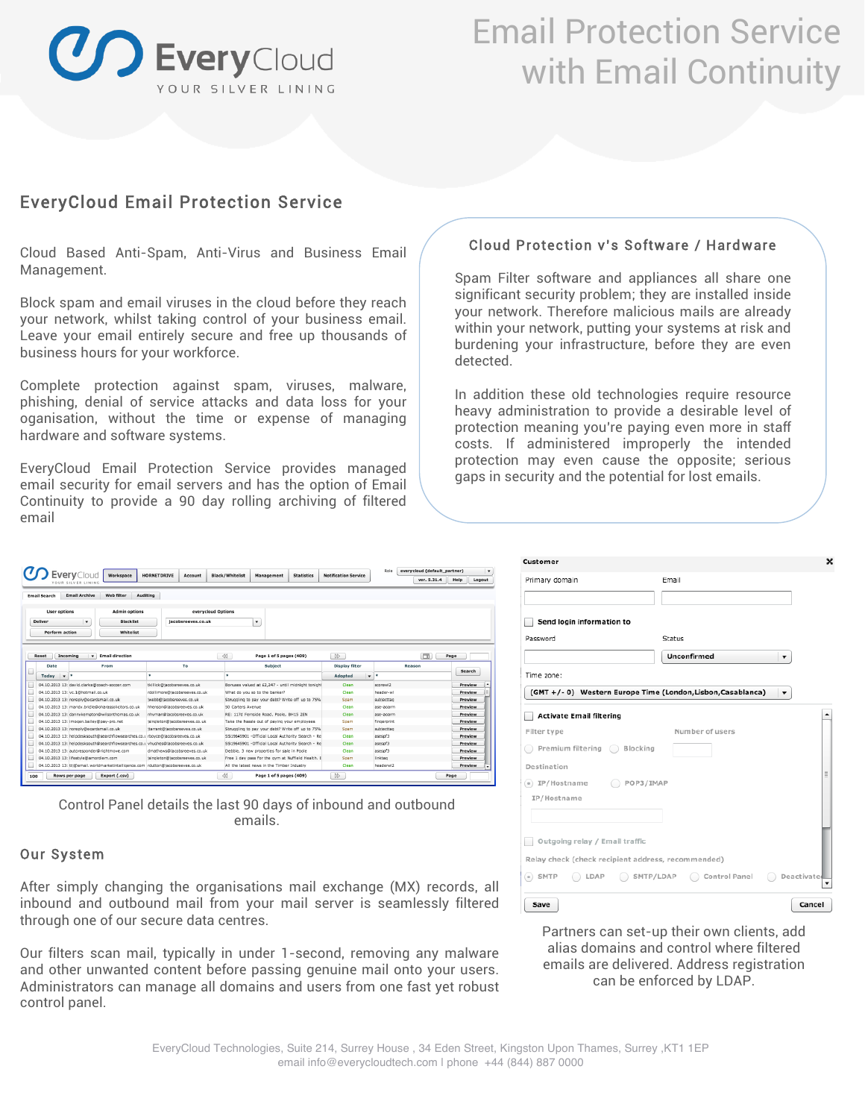

## Email Protection Service with Email Continuity

### EveryCloud Email Protection Service

Cloud Based Anti-Spam, Anti-Virus and Business Email Management.

Block spam and email viruses in the cloud before they reach your network, whilst taking control of your business email. Leave your email entirely secure and free up thousands of business hours for your workforce.

Complete protection against spam, viruses, malware, phishing, denial of service attacks and data loss for your oganisation, without the time or expense of managing hardware and software systems.

EveryCloud Email Protection Service provides managed email security for email servers and has the option of Email Continuity to provide a 90 day rolling archiving of filtered email

### Cloud Protection v's Software / Hardware

Spam Filter software and appliances all share one significant security problem; they are installed inside your network. Therefore malicious mails are already within your network, putting your systems at risk and burdening your infrastructure, before they are even detected.

In addition these old technologies require resource heavy administration to provide a desirable level of protection meaning you're paying even more in staff costs. If administered improperly the intended protection may even cause the opposite; serious gaps in security and the potential for lost emails.

|                       |                           | <b>Every</b> Cloud<br>Workspace<br>YOUR SILVER LINING                           | <b>HORNETDRIVE</b><br>Account | <b>Black/Whitelist</b><br><b>Statistics</b><br>Management | <b>Notification Service</b> | Role<br>everycloud (default partner)<br>ver. 5.31.4 | Help<br>Logout |
|-----------------------|---------------------------|---------------------------------------------------------------------------------|-------------------------------|-----------------------------------------------------------|-----------------------------|-----------------------------------------------------|----------------|
| <b>Email Search</b>   |                           | <b>Email Archive</b><br>Web filter                                              | Auditing                      |                                                           |                             |                                                     |                |
| <b>User options</b>   |                           | <b>Admin options</b>                                                            | everycloud Options            |                                                           |                             |                                                     |                |
| <b>Deliver</b>        |                           | $\pmb{\mathrm{v}}$<br><b>Blacklist</b>                                          | jacobsreeves.co.uk            | $\mathbf{v}$                                              |                             |                                                     |                |
| <b>Perform action</b> |                           | Whitelist                                                                       |                               |                                                           |                             |                                                     |                |
|                       |                           |                                                                                 |                               |                                                           |                             |                                                     |                |
|                       |                           |                                                                                 |                               |                                                           |                             |                                                     |                |
| Reset                 | Incoming                  | <b>Email direction</b><br>$\cdot$                                               |                               | $\ll$<br>Page 1 of 5 pages (409)                          | $\infty$                    | Œ.                                                  | Page           |
| Date                  |                           | From                                                                            | To                            | Subject                                                   | <b>Display filter</b>       | Reason                                              |                |
|                       |                           |                                                                                 |                               |                                                           |                             |                                                     | Search         |
| Today                 | $\mathbf{v}$ $\mathbf{v}$ |                                                                                 | ٠                             | ٠                                                         | Adopted                     | $\mathbf{v}$ $\mathbf{v}$                           |                |
|                       |                           | 04.10.2013 13: david.clarke@coach-soccer.com                                    | tkillick@jacobsreeves.co.uk   | Bonuses valued at £2,247 - until midnight tonight         | Clean                       | scorew12                                            | Preview        |
|                       |                           | 04.10.2013 13: vc.1@hotmail.co.uk                                               | rdollimore@iacobsreeves.co.uk | What do you so to the banker?                             | Clean                       | header-wl                                           | Preview        |
|                       |                           | 04.10.2013 13: noreply@ecardsmail.co.uk                                         | twebb@tacobsreeves.co.uk      | Struggling to pay your debt? Write off up to 75%          | Spam                        | subjecttag                                          | Preview        |
|                       |                           | 04.10.2013 13: mandy.bridle@oharassolicitors.co.uk                              | hhenson@lacobsreeves.co.uk    | 50 Carters Avenue                                         | Clean                       | ase-aoarm                                           | Preview        |
|                       |                           | 04.10.2013 13: dannykempton@wilsonthomas.co.uk                                  | nhyman@jacobsreeves.co.uk     | RE: 117d Fernside Road, Poole, BH15 2EN                   | Clean                       | ase-aoarm                                           | Preview        |
|                       |                           | 04.10.2013 13: imogen.bailey@pay-pro.net                                        | isingleton@iacobsreeves.co.uk | Take the hassle out of paying your employees              | Spam                        | fingerprint                                         | Preview        |
|                       |                           | 04.10.2013 13: noreply@ecardsmail.co.uk                                         | itarrant@iacobsreeves.co.uk   | Struggling to pay your debt? Write off up to 75%          | Spam                        | subjecttag                                          | Preview        |
|                       |                           | 04.10.2013 13: helpdesksouth@searchflowsearches.co.u rbovce@lacobsreeves.co.uk  |                               | SS19645901 - Official Local Authority Search - Re         | Clean                       | asesof3                                             | Preview        |
|                       |                           | 04.10.2013 13: helpdesksouth@searchflowsearches.co.u vhughes@lacobsreeves.co.uk |                               | SS19645901 - Official Local Authority Search - Re-        | Clean                       | asesof3                                             | Preview        |
|                       |                           | 04.10.2013 13: autoresponder@richtmove.com                                      | dmathews@lacobsreeves.co.uk   | Debbie. 3 new properties for sale in Poole                | Clean                       | asespf3                                             | Preview        |
|                       |                           | 04.10.2013 13: lifestyle@amordiem.com                                           | isingleton@iacobsreeves.co.uk | Free 1 day pass for the oym at Nuffield Health. E         | Spam                        | linktag                                             | Preview        |
|                       |                           |                                                                                 |                               |                                                           | Clean                       |                                                     | Preview        |

Control Panel details the last 90 days of inbound and outbound emails.

### Our System

After simply changing the organisations mail exchange (MX) records, all inbound and outbound mail from your mail server is seamlessly filtered through one of our secure data centres.

Our filters scan mail, typically in under 1-second, removing any malware and other unwanted content before passing genuine mail onto your users. Administrators can manage all domains and users from one fast yet robust control panel.

| Primary domain                                     | Email                                                            |
|----------------------------------------------------|------------------------------------------------------------------|
| Send login information to                          |                                                                  |
| Password                                           | Status                                                           |
|                                                    | Unconfirmed<br>▼                                                 |
| Time zone:                                         |                                                                  |
|                                                    | (GMT +/-0) Western Europe Time (London, Lisbon, Casablanca)<br>▼ |
| <b>Activate Email filtering</b>                    |                                                                  |
| Filter type                                        | Number of users                                                  |
| Premium filtering Blocking                         |                                                                  |
| Destination                                        | $\equiv$                                                         |
|                                                    |                                                                  |
| IP/Hostname                                        |                                                                  |
|                                                    |                                                                  |
| Outgoing relay / Email traffic                     |                                                                  |
| Relay check (check recipient address, recommended) |                                                                  |
|                                                    |                                                                  |
| $(a)$ SMTP                                         | LDAP SMTP/LDAP Control Panel C Deactivate                        |

Partners can set-up their own clients, add alias domains and control where filtered emails are delivered. Address registration can be enforced by LDAP.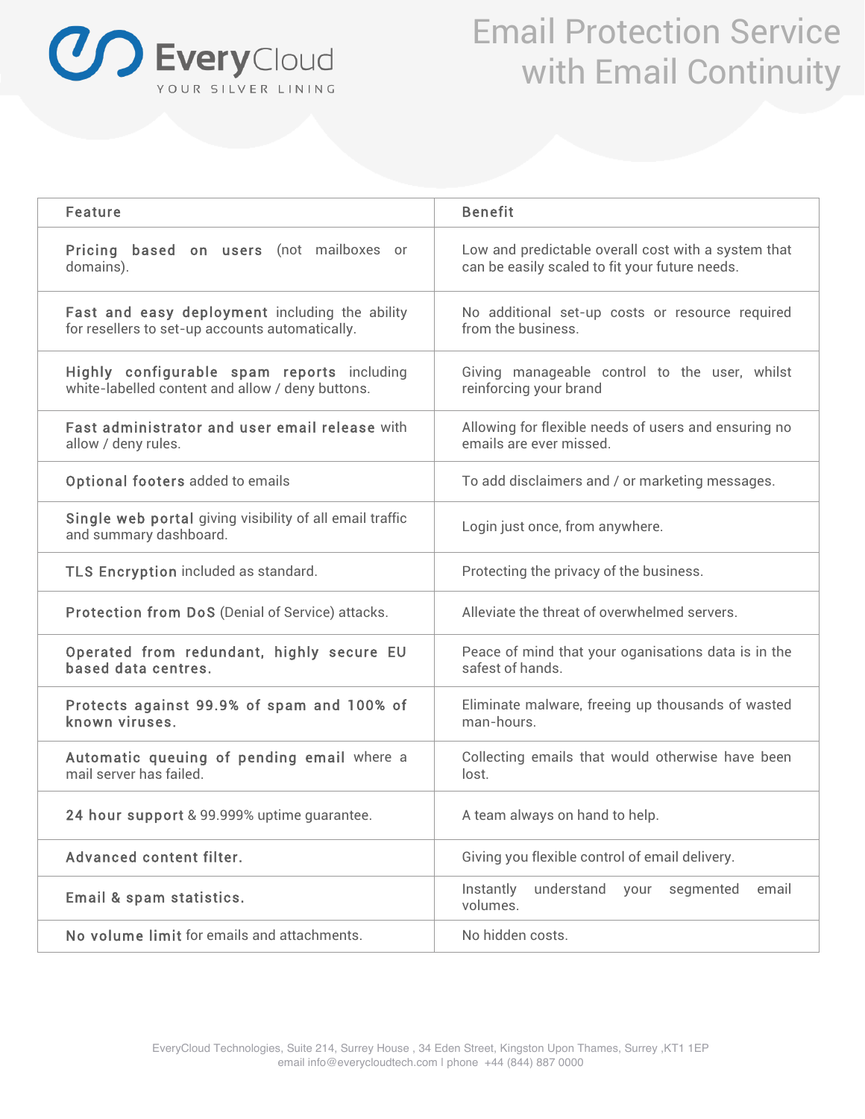

## Email Protection Service with Email Continuity

| Feature                                                                                           | <b>Benefit</b>                                                                                        |  |  |  |  |
|---------------------------------------------------------------------------------------------------|-------------------------------------------------------------------------------------------------------|--|--|--|--|
| Pricing based on users (not mailboxes or<br>domains).                                             | Low and predictable overall cost with a system that<br>can be easily scaled to fit your future needs. |  |  |  |  |
| Fast and easy deployment including the ability<br>for resellers to set-up accounts automatically. | No additional set-up costs or resource required<br>from the business.                                 |  |  |  |  |
| Highly configurable spam reports including<br>white-labelled content and allow / deny buttons.    | Giving manageable control to the user, whilst<br>reinforcing your brand                               |  |  |  |  |
| Fast administrator and user email release with<br>allow / deny rules.                             | Allowing for flexible needs of users and ensuring no<br>emails are ever missed.                       |  |  |  |  |
| Optional footers added to emails                                                                  | To add disclaimers and / or marketing messages.                                                       |  |  |  |  |
| Single web portal giving visibility of all email traffic<br>and summary dashboard.                | Login just once, from anywhere.                                                                       |  |  |  |  |
| TLS Encryption included as standard.                                                              | Protecting the privacy of the business.                                                               |  |  |  |  |
| Protection from DoS (Denial of Service) attacks.                                                  | Alleviate the threat of overwhelmed servers.                                                          |  |  |  |  |
| Operated from redundant, highly secure EU<br>based data centres.                                  | Peace of mind that your oganisations data is in the<br>safest of hands.                               |  |  |  |  |
| Protects against 99.9% of spam and 100% of<br>known viruses.                                      | Eliminate malware, freeing up thousands of wasted<br>man-hours.                                       |  |  |  |  |
| Automatic queuing of pending email where a<br>mail server has failed.                             | Collecting emails that would otherwise have been<br>lost.                                             |  |  |  |  |
| 24 hour support & 99.999% uptime guarantee.                                                       | A team always on hand to help.                                                                        |  |  |  |  |
| Advanced content filter.                                                                          | Giving you flexible control of email delivery.                                                        |  |  |  |  |
| Email & spam statistics.                                                                          | understand<br>Instantly<br>your<br>segmented<br>email<br>volumes.                                     |  |  |  |  |
| No volume limit for emails and attachments.                                                       | No hidden costs.                                                                                      |  |  |  |  |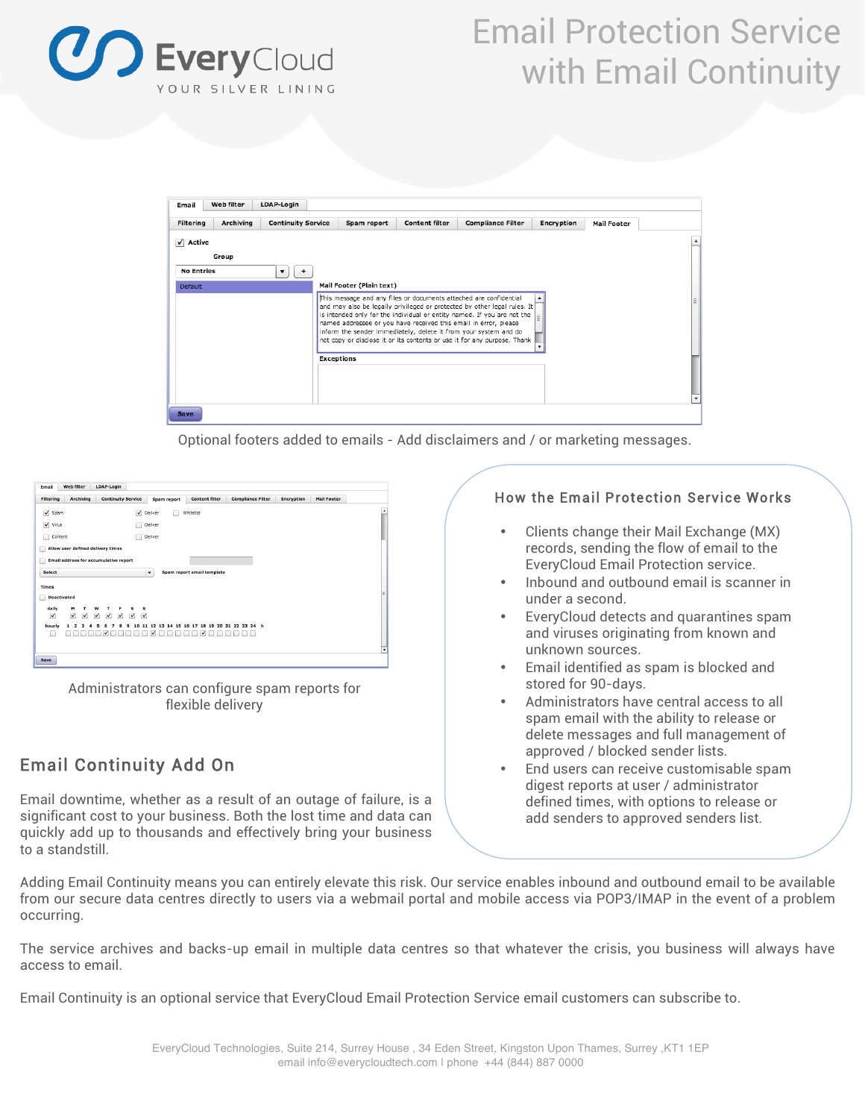

# Email Protection Service with Email Continuity



Optional footers added to emails - Add disclaimers and / or marketing messages.

| Web filter<br>Email                     | LDAP-Login                                                                                         |                                                                   |                            |                          |            |                    |
|-----------------------------------------|----------------------------------------------------------------------------------------------------|-------------------------------------------------------------------|----------------------------|--------------------------|------------|--------------------|
| Filtering                               | Archiving<br><b>Continuity Service</b>                                                             | Spam report                                                       | <b>Content filter</b>      | <b>Compliance Filter</b> | Encryption | <b>Mail Footer</b> |
| $\sqrt{}$<br>Spam                       |                                                                                                    | $\checkmark$<br>Deliver                                           | Whitelist                  |                          |            |                    |
| $\sqrt{}$ Virus                         |                                                                                                    | Deliver                                                           |                            |                          |            |                    |
| Content                                 |                                                                                                    | Deliver                                                           |                            |                          |            |                    |
| m                                       | Allow user defined delivery times                                                                  |                                                                   |                            |                          |            |                    |
| ı.                                      | Email address for accumulative report                                                              |                                                                   |                            |                          |            |                    |
| Select                                  |                                                                                                    | $\blacktriangledown$                                              | Spam report email template |                          |            |                    |
| Times                                   |                                                                                                    |                                                                   |                            |                          |            |                    |
| Deactivated<br>L                        |                                                                                                    |                                                                   |                            |                          |            |                    |
| м<br>daily                              | w<br>т<br>s<br>т<br>F                                                                              | s                                                                 |                            |                          |            |                    |
| ⊻<br>✔<br>hourly<br>$\overline{2}$<br>1 | $\checkmark$<br>$\sqrt{ }$<br>$\checkmark$<br>$\checkmark$<br>⊻<br>8<br>9<br>3<br>4<br>5<br>6<br>7 | $\checkmark$<br>11 12 13 14 15 16 17 18 19 20 21 22 23 24 h<br>10 |                            |                          |            |                    |
| L.                                      | $\checkmark$                                                                                       | $\checkmark$                                                      | $\checkmark$               |                          |            |                    |
|                                         |                                                                                                    |                                                                   |                            |                          |            |                    |
| Save                                    |                                                                                                    |                                                                   |                            |                          |            |                    |
|                                         |                                                                                                    |                                                                   |                            |                          |            |                    |

Administrators can configure spam reports for flexible delivery

### Email Continuity Add On

Email downtime, whether as a result of an outage of failure, is a significant cost to your business. Both the lost time and data can quickly add up to thousands and effectively bring your business to a standstill.

### How the Email Protection Service Works

- Clients change their Mail Exchange (MX) records, sending the flow of email to the EveryCloud Email Protection service.
- Inbound and outbound email is scanner in under a second.
- EveryCloud detects and quarantines spam and viruses originating from known and unknown sources.
- Email identified as spam is blocked and stored for 90-days.
- Administrators have central access to all spam email with the ability to release or delete messages and full management of approved / blocked sender lists.
- End users can receive customisable spam digest reports at user / administrator defined times, with options to release or add senders to approved senders list.

Adding Email Continuity means you can entirely elevate this risk. Our service enables inbound and outbound email to be available from our secure data centres directly to users via a webmail portal and mobile access via POP3/IMAP in the event of a problem occurring.

The service archives and backs-up email in multiple data centres so that whatever the crisis, you business will always have access to email.

Email Continuity is an optional service that EveryCloud Email Protection Service email customers can subscribe to.